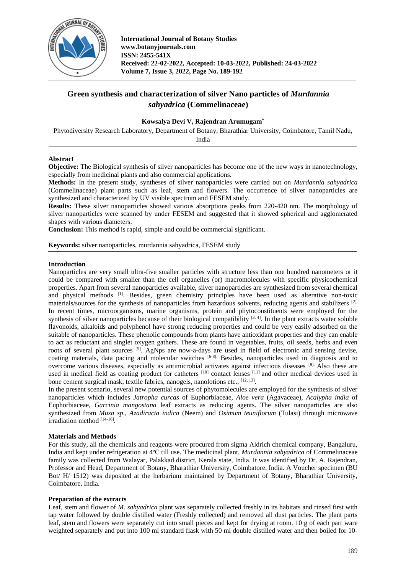

# **Green synthesis and characterization of silver Nano particles of** *Murdannia sahyadrica* **(Commelinaceae)**

# **Kowsalya Devi V, Rajendran Arumugam\***

Phytodiversity Research Laboratory, Department of Botany, Bharathiar University, Coimbatore, Tamil Nadu, India

# **Abstract**

**Objective:** The Biological synthesis of silver nanoparticles has become one of the new ways in nanotechnology, especially from medicinal plants and also commercial applications.

**Methods:** In the present study, syntheses of silver nanoparticles were carried out on *Murdannia sahyadrica* (Commelinaceae) plant parts such as leaf, stem and flowers. The occurrence of silver nanoparticles are synthesized and characterized by UV visible spectrum and FESEM study.

**Results:** These silver nanoparticles showed various absorptions peaks from 220-420 nm. The morphology of silver nanoparticles were scanned by under FESEM and suggested that it showed spherical and agglomerated shapes with various diameters.

**Conclusion:** This method is rapid, simple and could be commercial significant.

**Keywords:** silver nanoparticles, murdannia sahyadrica, FESEM study

# **Introduction**

Nanoparticles are very small ultra-five smaller particles with structure less than one hundred nanometers or it could be compared with smaller than the cell organelles (or) macromolecules with specific physicochemical properties. Apart from several nanoparticles available, silver nanoparticles are synthesized from several chemical and physical methods <sup>[1]</sup>. Besides, green chemistry principles have been used as alterative non-toxic materials/sources for the synthesis of nanoparticles from hazardous solvents, reducing agents and stabilizers [2]. In recent times, microorganisms, marine organisms, protein and phytoconstituents were employed for the synthesis of silver nanoparticles because of their biological compatibility  $[3, 4]$ . In the plant extracts water soluble flavonoids, alkaloids and polyphenol have strong reducing properties and could be very easily adsorbed on the suitable of nanoparticles. These phenolic compounds from plants have antioxidant properties and they can enable to act as reductant and singlet oxygen gathers. These are found in vegetables, fruits, oil seeds, herbs and even roots of several plant sources <sup>[5]</sup>. AgNps are now-a-days are used in field of electronic and sensing devise, coating materials, data pacing and molecular switches [6-8]. Besides, nanoparticles used in diagnosis and to overcome various diseases, especially as antimicrobial activates against infectious diseases [9]. Also these are used in medical field as coating product for catheters <sup>[10]</sup> contact lenses <sup>[11]</sup> and other medical devices used in bone cement surgical mask, textile fabrics, nanogels, nanolotions etc., [12, 13].

In the present scenario, several new potential sources of phytomolecules are employed for the synthesis of silver nanoparticles which includes *Jatropha curcas* of Euphorbiaceae, *Aloe vera* (Agavaceae), *Acalypha india* of Euphorbiaceae, *Garcinia mangostana* leaf extracts as reducing agents. The silver nanoparticles are also synthesized from *Musa sp*., *Azadiracta indica* (Neem) and *Osimum teuniflorum* (Tulasi) through microwave irradiation method [14-16].

#### **Materials and Methods**

For this study, all the chemicals and reagents were procured from sigma Aldrich chemical company, Bangaluru, India and kept under refrigeration at 4ºC till use. The medicinal plant, *Murdannia sahyadrica* of Commelinaceae family was collected from Walayar, Palakkad district, Kerala state, India. It was identified by Dr. A. Rajendran, Professor and Head, Department of Botany, Bharathiar University, Coimbatore, India. A Voucher specimen (BU Bot/ H/ 1512) was deposited at the herbarium maintained by Department of Botany, Bharathiar University, Coimbatore, India.

#### **Preparation of the extracts**

Leaf, stem and flower of *M. sahyadrica* plant was separately collected freshly in its habitats and rinsed first with tap water followed by double distilled water (Freshly collected) and removed all dust particles. The plant parts leaf, stem and flowers were separately cut into small pieces and kept for drying at room. 10 g of each part ware weighted separately and put into 100 ml standard flask with 50 ml double distilled water and then boiled for 10-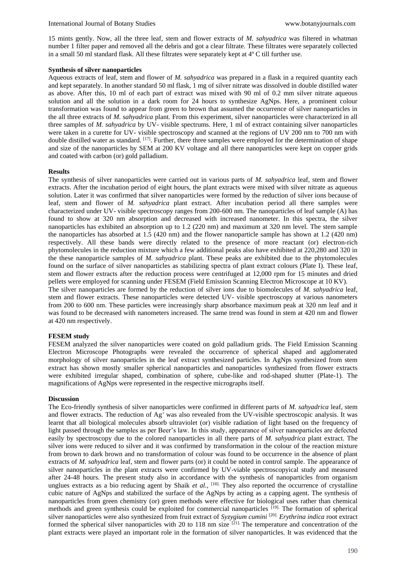15 mints gently. Now, all the three leaf, stem and flower extracts of *M. sahyadrica* was filtered in whatman number 1 filter paper and removed all the debris and got a clear filtrate. These filtrates were separately collected in a small 50 ml standard flask. All these filtrates were separately kept at 4º C till further use.

## **Synthesis of silver nanoparticles**

Aqueous extracts of leaf, stem and flower of *M. sahyadrica* was prepared in a flask in a required quantity each and kept separately. In another standard 50 ml flask, 1 mg of silver nitrate was dissolved in double distilled water as above. After this, 10 ml of each part of extract was mixed with 90 ml of 0.2 mm silver nitrate aqueous solution and all the solution in a dark room for 24 hours to synthesize AgNps. Here, a prominent colour transformation was found to appear from green to brown that assumed the occurrence of silver nanoparticles in the all three extracts of *M. sahyadrica* plant. From this experiment, silver nanoparticles were characterized in all three samples of *M. sahyadrica* by UV- visible spectrums. Here, 1 ml of extract containing silver nanoparticles were taken in a curette for UV- visible spectroscopy and scanned at the regions of UV 200 nm to 700 nm with double distilled water as standard. <sup>[17]</sup>. Further, there three samples were employed for the determination of shape and size of the nanoparticles by SEM at 200 KV voltage and all there nanoparticles were kept on copper grids and coated with carbon (or) gold palladium.

## **Results**

The synthesis of silver nanoparticles were carried out in various parts of *M. sahyadrica* leaf, stem and flower extracts. After the incubation period of eight hours, the plant extracts were mixed with silver nitrate as aqueous solution. Later it was confirmed that silver nanoparticles were formed by the reduction of silver ions because of leaf, stem and flower of *M. sahyadrica* plant extract. After incubation period all there samples were characterized under UV- visible spectroscopy ranges from 200-600 nm. The nanoparticles of leaf sample (A) has found to show at 320 nm absorption and decreased with increased nanometer. In this spectra, the silver nanoparticles has exhibited an absorption up to 1.2 (220 nm) and maximum at 320 nm level. The stem sample the nanoparticles has absorbed at 1.5 (420 nm) and the flower nanoparticle sample has shown at 1.2 (420 nm) respectively. All these bands were directly related to the presence of more reactant (or) electron-rich phytomolecules in the reduction mixture which a few additional peaks also have exhibited at 220,280 and 320 in the these nanoparticle samples of *M. sahyadrica* plant. These peaks are exhibited due to the phytomolecules found on the surface of silver nanoparticles as stabilizing spectra of plant extract colours (Plate I). These leaf, stem and flower extracts after the reduction process were centrifuged at 12,000 rpm for 15 minutes and dried pellets were employed for scanning under FESEM (Field Emission Scanning Electron Microscope at 10 KV). The silver nanoparticles are formed by the reduction of silver ions due to biomolecules of *M. sahyadrica* leaf, stem and flower extracts. These nanoparticles were detected UV- visible spectroscopy at various nanometers from 200 to 600 nm. These particles were increasingly sharp absorbance maximum peak at 320 nm leaf and it was found to be decreased with nanometers increased. The same trend was found in stem at 420 nm and flower at 420 nm respectively.

# **FESEM study**

FESEM analyzed the silver nanoparticles were coated on gold palladium grids. The Field Emission Scanning Electron Microscope Photographs were revealed the occurrence of spherical shaped and agglomerated morphology of silver nanoparticles in the leaf extract synthesized particles. In AgNps synthesized from stem extract has shown mostly smaller spherical nanoparticles and nanoparticles synthesized from flower extracts were exhibited irregular shaped, combination of sphere, cube-like and rod-shaped shutter (Plate-1). The magnifications of AgNps were represented in the respective micrographs itself.

#### **Discussion**

The Eco-friendly synthesis of silver nanoparticles were confirmed in different parts of *M. sahyadrica* leaf, stem and flower extracts. The reduction of  $Ag<sup>+</sup>$  was also revealed from the UV-visible spectroscopic analysis. It was learnt that all biological molecules absorb ultraviolet (or) visible radiation of light based on the frequency of light passed through the samples as per Beer's law. In this study, appearance of silver nanoparticles are defected easily by spectroscopy due to the colored nanoparticles in all there parts of *M. sahyadrica* plant extract. The silver ions were reduced to silver and it was confirmed by transformation in the colour of the reaction mixture from brown to dark brown and no transformation of colour was found to be occurrence in the absence of plant extracts of *M. sahyadrica* leaf, stem and flower parts (or) it could be noted in control sample. The appearance of silver nanoparticles in the plant extracts were confirmed by UV-viable spectroscopyical study and measured after 24-48 hours. The present study also in accordance with the synthesis of nanoparticles from organism unglues extracts as a bio reducing agent by Shaik *et al.*, <sup>[18]</sup>. They also reported the occurrence of crystalline cubic nature of AgNps and stabilized the surface of the AgNps by acting as a capping agent. The synthesis of nanoparticles from green chemistry (or) green methods were effective for biological uses rather than chemical methods and green synthesis could be exploited for commercial nanoparticles <sup>[19]</sup>. The formation of spherical silver nanoparticles were also synthesized from fruit extract of *Syzygium cumini* [20]. *Erythrina indica* root extract formed the spherical silver nanoparticles with 20 to 118 nm size <sup>[21]</sup>. The temperature and concentration of the plant extracts were played an important role in the formation of silver nanoparticles. It was evidenced that the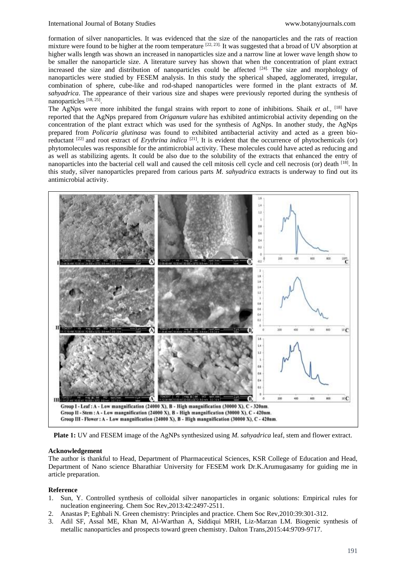formation of silver nanoparticles. It was evidenced that the size of the nanoparticles and the rats of reaction mixture were found to be higher at the room temperature [22, 23]. It was suggested that a broad of UV absorption at higher walls length was shown an increased in nanoparticles size and a narrow line at lower wave length show to be smaller the nanoparticle size. A literature survey has shown that when the concentration of plant extract increased the size and distribution of nanoparticles could be affected <sup>[24].</sup> The size and morphology of nanoparticles were studied by FESEM analysis. In this study the spherical shaped, agglomerated, irregular, combination of sphere, cube-like and rod-shaped nanoparticles were formed in the plant extracts of *M. sahyadrica*. The appearance of their various size and shapes were previously reported during the synthesis of nanoparticles<sup>[18, 25]</sup>.

The AgNps were more inhibited the fungal strains with report to zone of inhibitions. Shaik *et al.,* [18] have reported that the AgNps prepared from *Origanum vulare* has exhibited antimicrobial activity depending on the concentration of the plant extract which was used for the synthesis of AgNps. In another study, the AgNps prepared from *Policaria glutinasa* was found to exhibited antibacterial activity and acted as a green bioreductant <sup>[22]</sup> and root extract of *Erythrina indica* <sup>[21]</sup>. It is evident that the occurrence of phytochemicals (or) phytomolecules was responsible for the antimicrobial activity. These molecules could have acted as reducing and as well as stabilizing agents. It could be also due to the solubility of the extracts that enhanced the entry of nanoparticles into the bacterial cell wall and caused the cell mitosis cell cycle and cell necrosis (or) death [18]. In this study, silver nanoparticles prepared from carious parts *M. sahyadrica* extracts is underway to find out its antimicrobial activity.



**Plate 1:** UV and FESEM image of the AgNPs synthesized using *M. sahyadrica* leaf, stem and flower extract.

#### **Acknowledgement**

The author is thankful to Head, Department of Pharmaceutical Sciences, KSR College of Education and Head, Department of Nano science Bharathiar University for FESEM work Dr.K.Arumugasamy for guiding me in article preparation.

#### **Reference**

- 1. Sun, Y. Controlled synthesis of colloidal silver nanoparticles in organic solutions: Empirical rules for nucleation engineering. Chem Soc Rev,2013:42:2497-2511.
- 2. Anastas P; Eghbali N. Green chemistry: Principles and practice. Chem Soc Rev,2010:39:301-312.
- 3. Adil SF, Assal ME, Khan M, Al-Warthan A, Siddiqui MRH, Liz-Marzan LM. Biogenic synthesis of metallic nanoparticles and prospects toward green chemistry. Dalton Trans,2015:44:9709-9717.